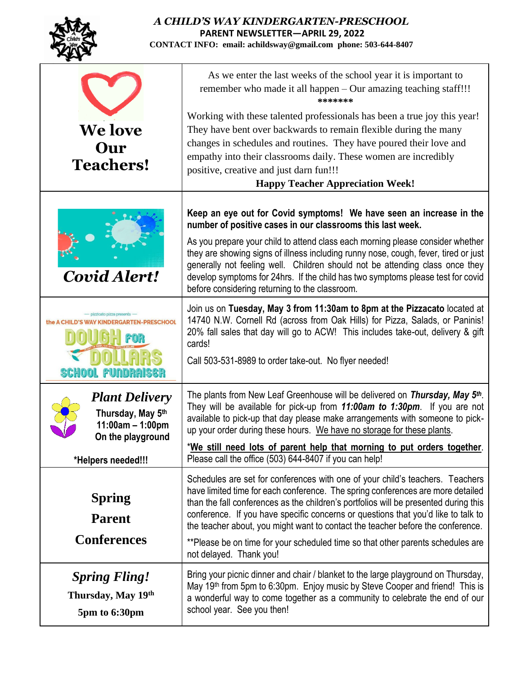|                                                                                       | A CHILD'S WAY KINDERGARTEN-PRESCHOOL<br><b>PARENT NEWSLETTER-APRIL 29, 2022</b><br>CONTACT INFO: email: achildsway@gmail.com phone: 503-644-8407                                                                                                                                                                                                                                                                                                                                                                                               |
|---------------------------------------------------------------------------------------|------------------------------------------------------------------------------------------------------------------------------------------------------------------------------------------------------------------------------------------------------------------------------------------------------------------------------------------------------------------------------------------------------------------------------------------------------------------------------------------------------------------------------------------------|
|                                                                                       | As we enter the last weeks of the school year it is important to<br>remember who made it all happen – Our amazing teaching staff!!!<br>*******                                                                                                                                                                                                                                                                                                                                                                                                 |
| <b>We love</b><br>Our<br><b>Teachers!</b>                                             | Working with these talented professionals has been a true joy this year!<br>They have bent over backwards to remain flexible during the many<br>changes in schedules and routines. They have poured their love and<br>empathy into their classrooms daily. These women are incredibly<br>positive, creative and just darn fun!!!<br><b>Happy Teacher Appreciation Week!</b>                                                                                                                                                                    |
| Covid Alert!                                                                          | Keep an eye out for Covid symptoms! We have seen an increase in the<br>number of positive cases in our classrooms this last week.                                                                                                                                                                                                                                                                                                                                                                                                              |
|                                                                                       | As you prepare your child to attend class each morning please consider whether<br>they are showing signs of illness including runny nose, cough, fever, tired or just<br>generally not feeling well. Children should not be attending class once they<br>develop symptoms for 24hrs. If the child has two symptoms please test for covid<br>before considering returning to the classroom.                                                                                                                                                     |
|                                                                                       | Join us on Tuesday, May 3 from 11:30am to 8pm at the Pizzacato located at<br>14740 N.W. Cornell Rd (across from Oak Hills) for Pizza, Salads, or Paninis!<br>20% fall sales that day will go to ACW! This includes take-out, delivery & gift<br>cards!<br>Call 503-531-8989 to order take-out. No flyer needed!                                                                                                                                                                                                                                |
| <b>Plant Delivery</b><br>Thursday, May 5th<br>$11:00am - 1:00pm$<br>On the playground | The plants from New Leaf Greenhouse will be delivered on Thursday, May 5 <sup>th</sup> .<br>They will be available for pick-up from 11:00am to 1:30pm. If you are not<br>available to pick-up that day please make arrangements with someone to pick-<br>up your order during these hours. We have no storage for these plants.                                                                                                                                                                                                                |
| *Helpers needed!!!                                                                    | *We still need lots of parent help that morning to put orders together.<br>Please call the office (503) 644-8407 if you can help!                                                                                                                                                                                                                                                                                                                                                                                                              |
| <b>Spring</b><br><b>Parent</b><br><b>Conferences</b>                                  | Schedules are set for conferences with one of your child's teachers. Teachers<br>have limited time for each conference. The spring conferences are more detailed<br>than the fall conferences as the children's portfolios will be presented during this<br>conference. If you have specific concerns or questions that you'd like to talk to<br>the teacher about, you might want to contact the teacher before the conference.<br>**Please be on time for your scheduled time so that other parents schedules are<br>not delayed. Thank you! |
| <b>Spring Fling!</b><br>Thursday, May 19th<br>5pm to 6:30pm                           | Bring your picnic dinner and chair / blanket to the large playground on Thursday,<br>May 19 <sup>th</sup> from 5pm to 6:30pm. Enjoy music by Steve Cooper and friend! This is<br>a wonderful way to come together as a community to celebrate the end of our<br>school year. See you then!                                                                                                                                                                                                                                                     |